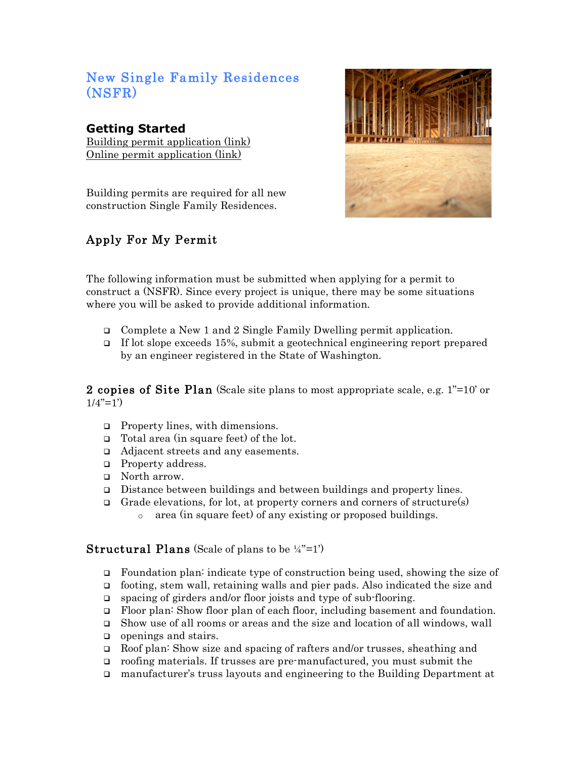# New Single Family Residences (NSFR)

### **Getting Started**

Building permit application (link) Online permit application (link)

Building permits are required for all new construction Single Family Residences.

# Apply For My Permit



The following information must be submitted when applying for a permit to construct a (NSFR). Since every project is unique, there may be some situations where you will be asked to provide additional information.

- Complete a New 1 and 2 Single Family Dwelling permit application.
- If lot slope exceeds 15%, submit a geotechnical engineering report prepared by an engineer registered in the State of Washington.

2 copies of Site Plan (Scale site plans to most appropriate scale, e.g.  $1"=10'$  or  $1/4$ "=1')

- $\Box$  Property lines, with dimensions.
- □ Total area (in square feet) of the lot.
- □ Adjacent streets and any easements.
- **Property address.**
- **D** North arrow.
- Distance between buildings and between buildings and property lines.
- Grade elevations, for lot, at property corners and corners of structure(s) o area (in square feet) of any existing or proposed buildings.

#### **Structural Plans** (Scale of plans to be  $\frac{1}{4}$ "=1')

- Foundation plan: indicate type of construction being used, showing the size of
- footing, stem wall, retaining walls and pier pads. Also indicated the size and
- □ spacing of girders and/or floor joists and type of sub-flooring.
- Floor plan: Show floor plan of each floor, including basement and foundation.
- Show use of all rooms or areas and the size and location of all windows, wall
- $\Box$  openings and stairs.
- Roof plan: Show size and spacing of rafters and/or trusses, sheathing and
- roofing materials. If trusses are pre-manufactured, you must submit the
- manufacturer's truss layouts and engineering to the Building Department at